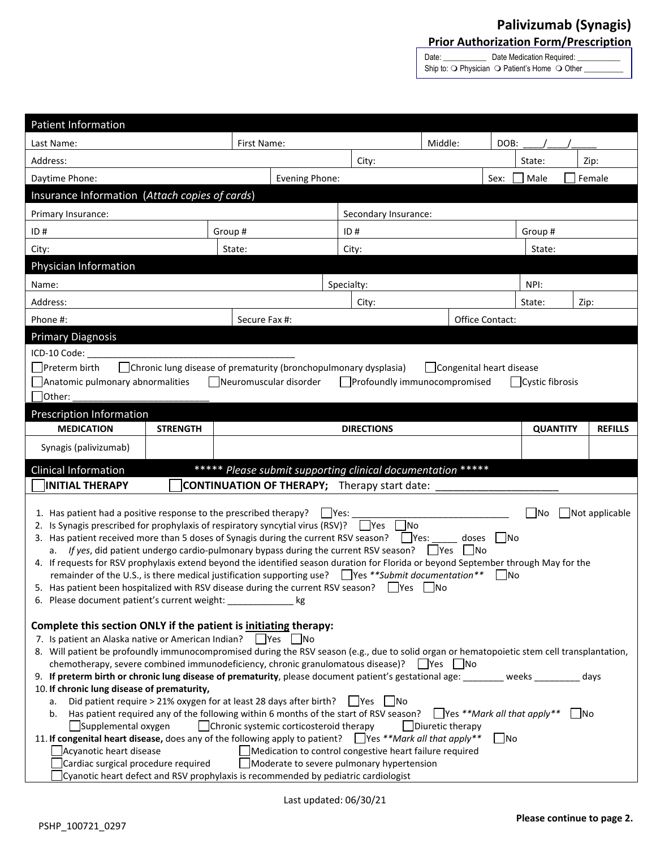## **Palivizumab (Synagis) Prior Authorization Form/Prescription**

Date: \_\_\_\_\_\_\_\_\_\_\_\_\_\_\_ Date Medication Required: Ship to:  $\bigcirc$  Physician  $\bigcirc$  Patient's Home  $\bigcirc$  Other \_

| <b>Patient Information</b>                                                                                                                                                                                                      |                 |  |                      |                                                         |         |                |                 |  |                |
|---------------------------------------------------------------------------------------------------------------------------------------------------------------------------------------------------------------------------------|-----------------|--|----------------------|---------------------------------------------------------|---------|----------------|-----------------|--|----------------|
| First Name:<br>Last Name:                                                                                                                                                                                                       |                 |  |                      |                                                         | Middle: | DOB:           |                 |  |                |
| Address:                                                                                                                                                                                                                        |                 |  |                      | City:                                                   |         |                | State:          |  | Zip:           |
| Evening Phone:<br>Daytime Phone:                                                                                                                                                                                                |                 |  |                      | Female<br>Sex:<br>Male                                  |         |                |                 |  |                |
| Insurance Information (Attach copies of cards)                                                                                                                                                                                  |                 |  |                      |                                                         |         |                |                 |  |                |
| Primary Insurance:                                                                                                                                                                                                              |                 |  | Secondary Insurance: |                                                         |         |                |                 |  |                |
| ID#                                                                                                                                                                                                                             | Group#          |  | ID#                  |                                                         |         | Group#         |                 |  |                |
| City:                                                                                                                                                                                                                           | State:          |  | City:                |                                                         |         | State:         |                 |  |                |
| Physician Information                                                                                                                                                                                                           |                 |  |                      |                                                         |         |                |                 |  |                |
| Name:                                                                                                                                                                                                                           |                 |  | Specialty:<br>NPI:   |                                                         |         |                |                 |  |                |
| Address:                                                                                                                                                                                                                        |                 |  | City:                |                                                         |         | State:<br>Zip: |                 |  |                |
| Phone #:                                                                                                                                                                                                                        | Secure Fax #:   |  |                      | Office Contact:                                         |         |                |                 |  |                |
| <b>Primary Diagnosis</b>                                                                                                                                                                                                        |                 |  |                      |                                                         |         |                |                 |  |                |
| ICD-10 Code:                                                                                                                                                                                                                    |                 |  |                      |                                                         |         |                |                 |  |                |
| $\Box$ Chronic lung disease of prematurity (bronchopulmonary dysplasia)<br>Preterm birth<br>  Congenital heart disease                                                                                                          |                 |  |                      |                                                         |         |                |                 |  |                |
| Neuromuscular disorder<br>Profoundly immunocompromised<br>Anatomic pulmonary abnormalities<br>$\Box$ Cystic fibrosis                                                                                                            |                 |  |                      |                                                         |         |                |                 |  |                |
| Other:                                                                                                                                                                                                                          |                 |  |                      |                                                         |         |                |                 |  |                |
| Prescription Information                                                                                                                                                                                                        |                 |  |                      |                                                         |         |                |                 |  |                |
| <b>MEDICATION</b>                                                                                                                                                                                                               | <b>STRENGTH</b> |  |                      | <b>DIRECTIONS</b>                                       |         |                | <b>QUANTITY</b> |  | <b>REFILLS</b> |
| Synagis (palivizumab)                                                                                                                                                                                                           |                 |  |                      |                                                         |         |                |                 |  |                |
| ***** Please submit supporting clinical documentation *****<br><b>Clinical Information</b>                                                                                                                                      |                 |  |                      |                                                         |         |                |                 |  |                |
| <b>INITIAL THERAPY</b><br><b>CONTINUATION OF THERAPY;</b> Therapy start date:                                                                                                                                                   |                 |  |                      |                                                         |         |                |                 |  |                |
| 1. Has patient had a positive response to the prescribed therapy?                                                                                                                                                               |                 |  |                      |                                                         |         |                |                 |  |                |
| 2. Is Synagis prescribed for prophylaxis of respiratory syncytial virus (RSV)? Ves                                                                                                                                              |                 |  | $ $ Yes:             | No                                                      |         |                | <b>No</b>       |  | Not applicable |
| 3. Has patient received more than 5 doses of Synagis during the current RSV season?                                                                                                                                             |                 |  |                      | $\Box$ Yes:                                             | doses   | No             |                 |  |                |
| If yes, did patient undergo cardio-pulmonary bypass during the current RSV season?<br>l Ino<br><b>Yes</b><br>a.                                                                                                                 |                 |  |                      |                                                         |         |                |                 |  |                |
| 4. If requests for RSV prophylaxis extend beyond the identified season duration for Florida or beyond September through May for the                                                                                             |                 |  |                      |                                                         |         |                |                 |  |                |
| remainder of the U.S., is there medical justification supporting use? $\Box$ Yes **Submit documentation**<br>lNo<br>5. Has patient been hospitalized with RSV disease during the current RSV season? $\Box$ Yes $\Box$ No       |                 |  |                      |                                                         |         |                |                 |  |                |
| 6. Please document patient's current weight:<br>kg                                                                                                                                                                              |                 |  |                      |                                                         |         |                |                 |  |                |
|                                                                                                                                                                                                                                 |                 |  |                      |                                                         |         |                |                 |  |                |
| Complete this section ONLY if the patient is initiating therapy:                                                                                                                                                                |                 |  |                      |                                                         |         |                |                 |  |                |
| 7. Is patient an Alaska native or American Indian? Pres No<br>8. Will patient be profoundly immunocompromised during the RSV season (e.g., due to solid organ or hematopoietic stem cell transplantation,                       |                 |  |                      |                                                         |         |                |                 |  |                |
| chemotherapy, severe combined immunodeficiency, chronic granulomatous disease)?<br>  Yes   No                                                                                                                                   |                 |  |                      |                                                         |         |                |                 |  |                |
| 9. If preterm birth or chronic lung disease of prematurity, please document patient's gestational age: weeks<br>days                                                                                                            |                 |  |                      |                                                         |         |                |                 |  |                |
| 10. If chronic lung disease of prematurity,                                                                                                                                                                                     |                 |  |                      |                                                         |         |                |                 |  |                |
| Did patient require > 21% oxygen for at least 28 days after birth?<br>- INo<br>l IYes<br>a.                                                                                                                                     |                 |  |                      |                                                         |         |                |                 |  |                |
| <b>Nes **Mark all that apply**</b><br>Has patient required any of the following within 6 months of the start of RSV season?<br>  No<br>b.<br>Supplemental oxygen<br>Chronic systemic corticosteroid therapy<br>Diuretic therapy |                 |  |                      |                                                         |         |                |                 |  |                |
| 11. If congenital heart disease, does any of the following apply to patient? Yes **Mark all that apply**<br>  No                                                                                                                |                 |  |                      |                                                         |         |                |                 |  |                |
| Acyanotic heart disease                                                                                                                                                                                                         |                 |  |                      | Medication to control congestive heart failure required |         |                |                 |  |                |
| Cardiac surgical procedure required<br>Moderate to severe pulmonary hypertension                                                                                                                                                |                 |  |                      |                                                         |         |                |                 |  |                |
| Cyanotic heart defect and RSV prophylaxis is recommended by pediatric cardiologist                                                                                                                                              |                 |  |                      |                                                         |         |                |                 |  |                |